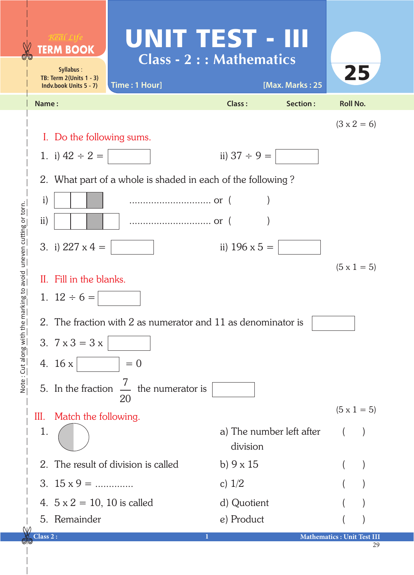